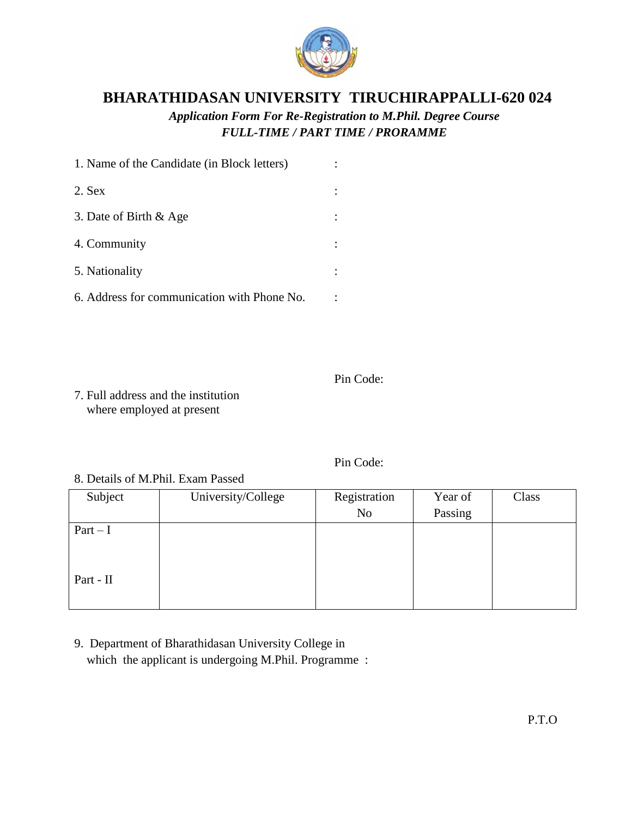

## **BHARATHIDASAN UNIVERSITY TIRUCHIRAPPALLI-620 024**

*Application Form For Re-Registration to M.Phil. Degree Course FULL-TIME / PART TIME / PRORAMME*

| 1. Name of the Candidate (in Block letters) |  |
|---------------------------------------------|--|
| $2.$ Sex                                    |  |
| 3. Date of Birth & Age                      |  |
| 4. Community                                |  |
| 5. Nationality                              |  |
| 6. Address for communication with Phone No. |  |

Pin Code:

7. Full address and the institution where employed at present

Pin Code:

8. Details of M.Phil. Exam Passed

| Subject   | University/College | Registration   | Year of | Class |
|-----------|--------------------|----------------|---------|-------|
|           |                    | N <sub>o</sub> | Passing |       |
| $Part-I$  |                    |                |         |       |
|           |                    |                |         |       |
|           |                    |                |         |       |
| Part - II |                    |                |         |       |
|           |                    |                |         |       |

9. Department of Bharathidasan University College in which the applicant is undergoing M.Phil. Programme :